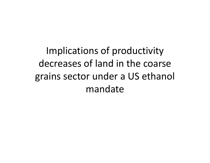Implications of productivity decreases of land in the coarse grains sector under <sup>a</sup> US ethanol mandate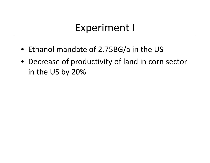#### Experiment I

- Ethanol mandate of 2.75BG/a in the US
- Decrease of productivity of land in corn sector in the US by 20%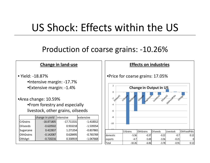## US Shock: Effects within the US

#### Production of coarse grains: ‐10.26%

#### **Change in land‐use**

• Yield: ‐18.87%•Intensive margin: ‐17.7% •Extensive margin: ‐1.4%

•Area change: 10.59% •From forestry and especially livestock, other grains, oilseeds

|                  | change in yield | intensive    | extensive   |
|------------------|-----------------|--------------|-------------|
| <b>CrGrains</b>  | $-18.871805$    | $-17.711531$ | $-1.410012$ |
| <b>Oilseeds</b>  | $-0.620502$     | 0.933218     | $-1.539354$ |
| Sugarcane        | 0.422837        | 1.271354     | $-0.837865$ |
| <b>OthGrains</b> | $-0.142087$     | 0.628495     | $-0.765769$ |
| OthAgri          | $-0.720216$     | 0.330919     | $-1.047668$ |
|                  |                 |              |             |

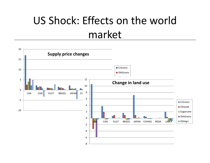# US Shock: Effects on the world market

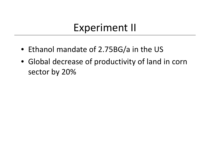### Experiment II

- Ethanol mandate of 2.75BG/a in the US
- Global decrease of productivity of land in corn sector by 20%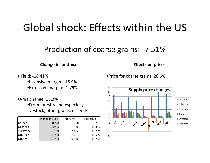## Global shock: Effects within the US

#### Production of coarse grains: ‐7.51%

#### **Change in land‐use**

- Yield: ‐18.41%•Intensive margin: ‐16.9% •Extensive margin: ‐1.79%
- •Area change: 13.3% •From forestry and especially livestock, other grains, oilseeds

| <b>CrGrains</b>  |           |           | extensive |
|------------------|-----------|-----------|-----------|
|                  | $-18.718$ | $-16.931$ | $-1.787$  |
| <b>Oilseeds</b>  | $-0.0735$ | 1.8608    | $-1.9343$ |
| Sugarcane        | 1.1889    | 2.3158    | $-1.1269$ |
| <b>OthGrains</b> | 0.4733    | 1.5318    | $-1.0585$ |
| OthAgri          | $-0.7754$ | 0.6008    | $-1.3762$ |

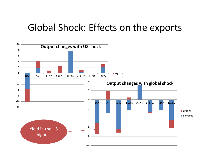#### Global Shock: Effects on the exports